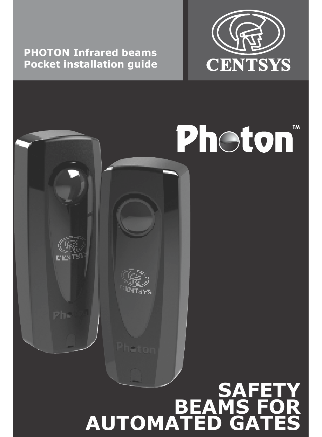**PHOTON Infrared beams Pocket installation guide**



# **Photon<sup>®</sup> SAFETY BEAMS FOR AUTOMATED GATES**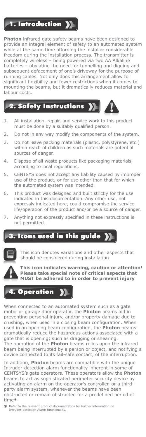**1.** Introduction **X** 

**Photon** infrared gate safety beams have been designed to provide an integral element of safety to an automated system while at the same time affording the installer considerable freedom during the installation process. The transmitter is completely wireless – being powered via two AA Alkaline batteries – obviating the need for tunnelling and digging and subsequent defacement of one's driveway for the purpose of running cables. Not only does this arrangement allow for significant flexibility and fewer restrictions when it comes to mounting the beams, but it dramatically reduces material and labour costs.

# 2. Safety Instructions >>



- 1. All installation, repair, and service work to this product must be done by a suitably qualified person.
- 2. Do not in any way modify the components of the system.
- 3. Do not leave packing materials (plastic, polystyrene, etc.) within reach of children as such materials are potential sources of danger.
- 4. Dispose of all waste products like packaging materials, according to local regulations.
- 5. CENTSYS does not accept any liability caused by improper use of the product, or for use other than that for which the automated system was intended.
- 6. This product was designed and built strictly for the use indicated in this documentation. Any other use, not expressly indicated here, could compromise the service life/operation of the product and/or be a source of danger.
- Anything not expressly specified in these instructions is not permitted.

## Icons used in this guide X



This icon denotes variations and other aspects that should be considered during installation

**This icon indicates warning, caution or attention! Please take special note of critical aspects that MUST be adhered to in order to prevent injury**

# **Operation** )

When connected to an automated system such as a gate motor or garage door operator, the **Photon** beams aid in preventing personal injury, and/or property damage due to crushing, when used in a closing beam configuration. When used in an opening beam configuration, the **Photon** beams dramatically reduce the hazardous actions associated with a gate that is opening; such as dragging or shearing. The operation of the **Photon** beams relies upon the infrared beam being interrupted by a person or object, and notifying a device connected to its fail-safe contact, of the interruption.

In addition, **Photon** beams are compatible with the unique Intruder-detection alarm functionality inherent in some of CENTSYS's gate operators. These operators allow the **Photon** beams to act as sophisticated perimeter security device by activating an alarm on the operator's controller, or a thirdparty alarm system, whenever the beams have been obstructed or remain obstructed for a predefined period of time

**<sup>\*</sup>** Refer to the relevant product documentation for further information on Intruder-detection Alarm functionality.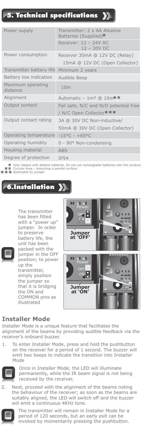# 5. Technical specifications

| Power supply                  | Transmitter: 2 x AA Alkaline<br>Batteries (Supplied)*            |
|-------------------------------|------------------------------------------------------------------|
|                               | Receiver: 12 - 24V AC<br>$12 - 30V$ DC                           |
| Power consumption             | Receiver 30mA @ 12V DC (Relay)                                   |
|                               | 15mA @ 12V DC (Open Collector)                                   |
| Transmitter battery life      | Minimum 2 years                                                  |
| Battery low indication        | Audible Beep                                                     |
| Maximum operating<br>distance | 10 <sub>m</sub>                                                  |
| Alignment                     | Automatic - $1m^2$ @ $10m**$                                     |
| Output contact                | Fail safe, N/C and N/O potential free<br>/ N/C Open Collector*** |
| Output contact rating         | 3A @ 30V DC Non-inductive/                                       |
|                               | 50mA @ 30V DC (Open Collector)                                   |
| Operating temperature         | $-15^{\circ}$ C - +65°C                                          |
| Operating humidity            | $0 - 90^{\circ}$ Non-condensing                                  |
| Housing material              | <b>ABS</b>                                                       |
| Degree of protection          | <b>IP54</b>                                                      |

Only replace with alkaline batteries. Do not use rechargeable batteries with this product. Circular Area – Assuming a parallel surface.

ular Arca<br>ectable by jumper

# 6.Installation

The transmitter has been fitted with a "power up" jumper. In order to preserve battery life, the unit has been packed with the jumper in the OFF position; to power up the transmitter, simply position the jumper so that it is bridging the ON and COMMON pins as illustrated



#### **Installer Mode**

Installer Mode is a unique feature that facilitates the alignment of the beams by providing audible feedback via the receiver's onboard buzzer.

1. To enter Installer Mode, press and hold the pushbutton on the receiver for a period of 1 second. The buzzer will emit two beeps to indicate the transition into Installer Mode



Once in Installer Mode, the LED will illuminate permanently, while the IR beam signal is not being received by the receiver.

2. Next, proceed with the alignment of the beams noting the behaviour of the receiver; as soon as the beams are suitably aligned, the LED will switch off and the buzzer will emit a continuous 4KHz tone.



The transmitter will remain in Installer Mode for a period of 120 seconds, but an early exit can be invoked by momentarily pressing the pushbutton.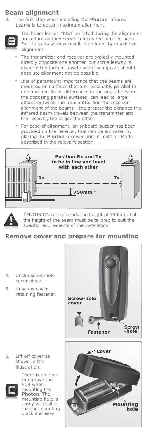#### **Beam alignment**

3. The first step when installing the **Photon** infrared beams is to obtain maximum alignment.



The beam lenses MUST be fitted during the alignment procedure as they serve to focus the infrared beam. Failure to do so may result in an inability to achieve alignment.

- The transmitter and receiver are typically mounted directly opposite one another, but some leeway is given in the form of a wide beam being cast should absolute alignment not be possible
- ö It is of paramount importance that the beams are mounted on surfaces that are reasonably parallel to one another. Small differences in the angle between the opposing parallel surfaces, can lead to large offsets between the transmitter and the receiver alignment of the beams - the greater the distance the infrared beam travels between the transmitter and the receiver, the larger the offset
- For ease of alignment, an onboard buzzer has been provided on the receiver, that can be activated by placing the **Photon** receiver unit in Installer Mode, described in the relevant section





CENTURION recommends the height of 750mm, but the height of the beam must be tailored to suit the specific requirements of the installation

#### **Remove cover and prepare for mounting**

- 4. Unclip screw-hole cover piece.
- 5. Unscrew cover retaining fastener.

6. Lift off cover as shown in the illustration.



There is no need to remove the PCB when mounting the **Photon**. The mounting hole is easily accessible making mounting quick and easy



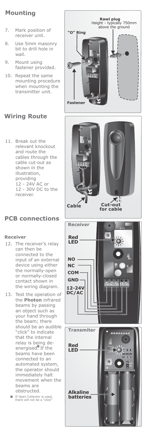### **Mounting**

- 7. Mark position of receiver unit.
- 8. Use 5mm masonry bit to drill hole in wall.
- 9. Mount using fastener provided.
- 10. Repeat the same mounting procedure when mounting the transmitter unit.



11. Break out the relevant knockout and route the cables through the cable cut-out as shown in the illustration, providing 12 - 24V AC or 12 - 30V DC to the receiver.

## **PCB connections**

#### **Receiver**

- 12. The receiver's relay can then be connected to the input of an external device using either the normally-open or normally-closed contact shown in the wiring diagram.
- 13. Test the operation of the **Photon** infrared beams by passing an object such as your hand through the beam; there should be an audible "click" to indicate that the internal relay is being deenergised. If the beams have been connected to an automated system, the operator should immediately halt movement when the beams are obstructed.
	- If Open Collector is used, there will not be a "click"

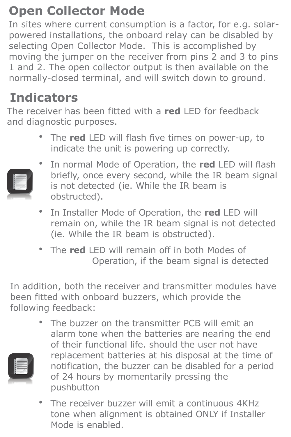## **Open Collector Mode**

In sites where current consumption is a factor, for e.g. solarpowered installations, the onboard relay can be disabled by selecting Open Collector Mode. This is accomplished by moving the jumper on the receiver from pins 2 and 3 to pins 1 and 2. The open collector output is then available on the normally-closed terminal, and will switch down to ground.

## **Indicators**

The receiver has been fitted with a **red** LED for feedback and diagnostic purposes.

> The **red** LED will flash five times on power-up, to indicate the unit is powering up correctly.



- ï In normal Mode of Operation, the **red** LED will flash briefly, once every second, while the IR beam signal is not detected (ie. While the IR beam is obstructed).
- ï In Installer Mode of Operation, the **red** LED will remain on, while the IR beam signal is not detected (ie. While the IR beam is obstructed).
- The **red** LED will remain off in both Modes of Operation, if the beam signal is detected

In addition, both the receiver and transmitter modules have been fitted with onboard buzzers, which provide the following feedback:

- The buzzer on the transmitter PCB will emit an alarm tone when the batteries are nearing the end of their functional life. should the user not have replacement batteries at his disposal at the time of notification, the buzzer can be disabled for a period of 24 hours by momentarily pressing the pushbutton
	- The receiver buzzer will emit a continuous 4KHz tone when alignment is obtained ONLY if Installer Mode is enabled.